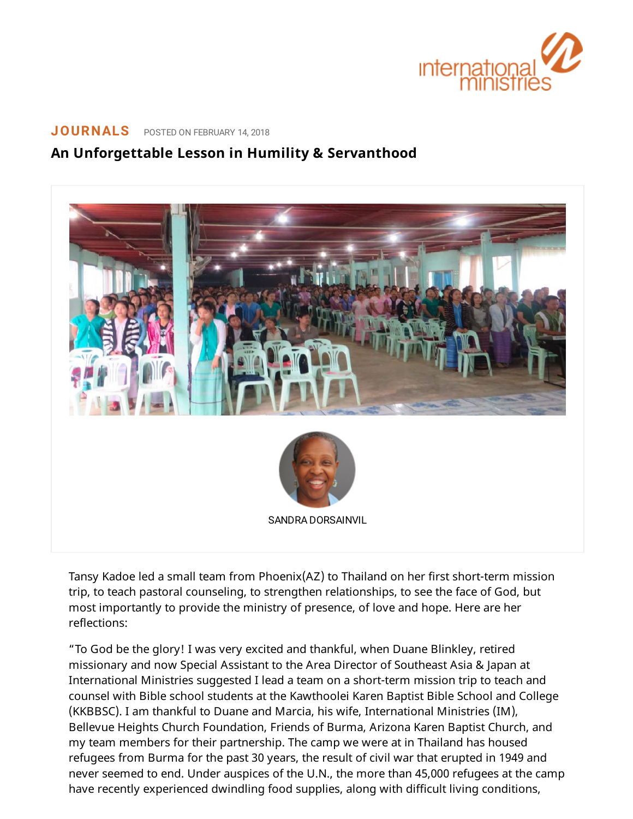

## **[JOURNALS](https://www.internationalministries.org/category/journals/)** POSTED ON FEBRUARY 14, 2018

## **An Unforgettable Lesson in Humility & Servanthood**



Tansy Kadoe led a small team from Phoenix(AZ) to Thailand on her first short-term mission trip, to teach pastoral counseling, to strengthen relationships, to see the face of God, but most importantly to provide the ministry of presence, of love and hope. Here are her reflections:

"To God be the glory! I was very excited and thankful, when Duane Blinkley, retired missionary and now Special Assistant to the Area Director of Southeast Asia & Japan at International Ministries suggested I lead a team on a short-term mission trip to teach and counsel with Bible school students at the Kawthoolei Karen Baptist Bible School and College (KKBBSC). I am thankful to Duane and Marcia, his wife, International Ministries (IM), Bellevue Heights Church Foundation, Friends of Burma, Arizona Karen Baptist Church, and my team members for their partnership. The camp we were at in Thailand has housed refugees from Burma for the past 30 years, the result of civil war that erupted in 1949 and never seemed to end. Under auspices of the U.N., the more than 45,000 refugees at the camp have recently experienced dwindling food supplies, along with difficult living conditions,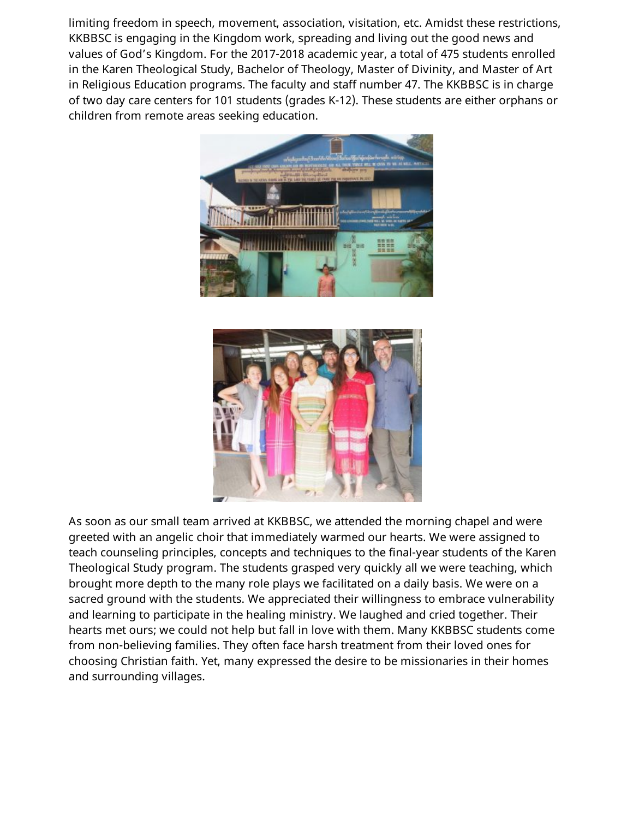limiting freedom in speech, movement, association, visitation, etc. Amidst these restrictions, KKBBSC is engaging in the Kingdom work, spreading and living out the good news and values of God's Kingdom. For the 2017-2018 academic year, a total of 475 students enrolled in the Karen Theological Study, Bachelor of Theology, Master of Divinity, and Master of Art in Religious Education programs. The faculty and staff number 47. The KKBBSC is in charge of two day care centers for 101 students (grades K-12). These students are either orphans or children from remote areas seeking education.





As soon as our small team arrived at KKBBSC, we attended the morning chapel and were greeted with an angelic choir that immediately warmed our hearts. We were assigned to teach counseling principles, concepts and techniques to the final-year students of the Karen Theological Study program. The students grasped very quickly all we were teaching, which brought more depth to the many role plays we facilitated on a daily basis. We were on a sacred ground with the students. We appreciated their willingness to embrace vulnerability and learning to participate in the healing ministry. We laughed and cried together. Their hearts met ours; we could not help but fall in love with them. Many KKBBSC students come from non-believing families. They often face harsh treatment from their loved ones for choosing Christian faith. Yet, many expressed the desire to be missionaries in their homes and surrounding villages.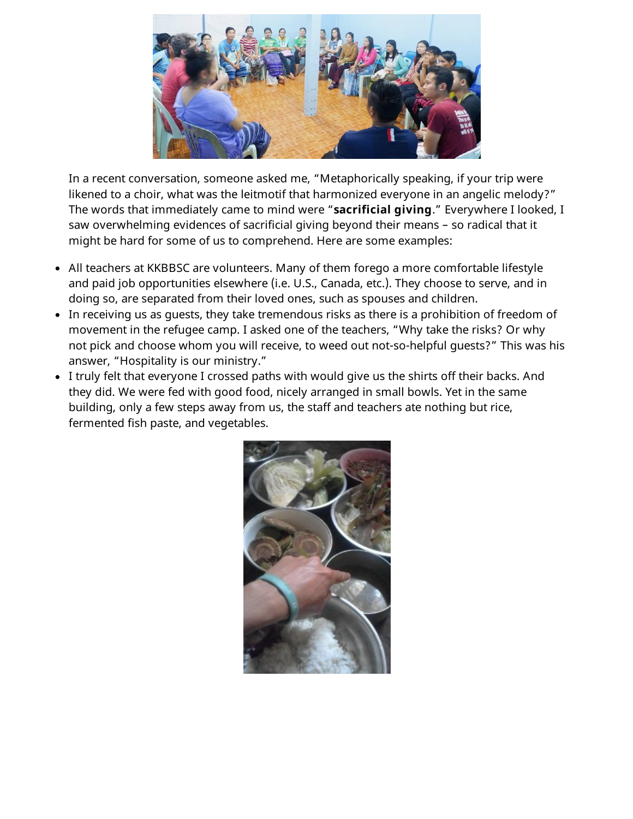

In a recent conversation, someone asked me, "Metaphorically speaking, if your trip were likened to a choir, what was the leitmotif that harmonized everyone in an angelic melody?" The words that immediately came to mind were "**sacrificial giving**." Everywhere I looked, I saw overwhelming evidences of sacrificial giving beyond their means – so radical that it might be hard for some of us to comprehend. Here are some examples:

- All teachers at KKBBSC are volunteers. Many of them forego a more comfortable lifestyle and paid job opportunities elsewhere (i.e. U.S., Canada, etc.). They choose to serve, and in doing so, are separated from their loved ones, such as spouses and children.
- In receiving us as guests, they take tremendous risks as there is a prohibition of freedom of movement in the refugee camp. I asked one of the teachers, "Why take the risks? Or why not pick and choose whom you will receive, to weed out not-so-helpful guests?" This was his answer, "Hospitality is our ministry."
- I truly felt that everyone I crossed paths with would give us the shirts off their backs. And they did. We were fed with good food, nicely arranged in small bowls. Yet in the same building, only a few steps away from us, the staff and teachers ate nothing but rice, fermented fish paste, and vegetables.